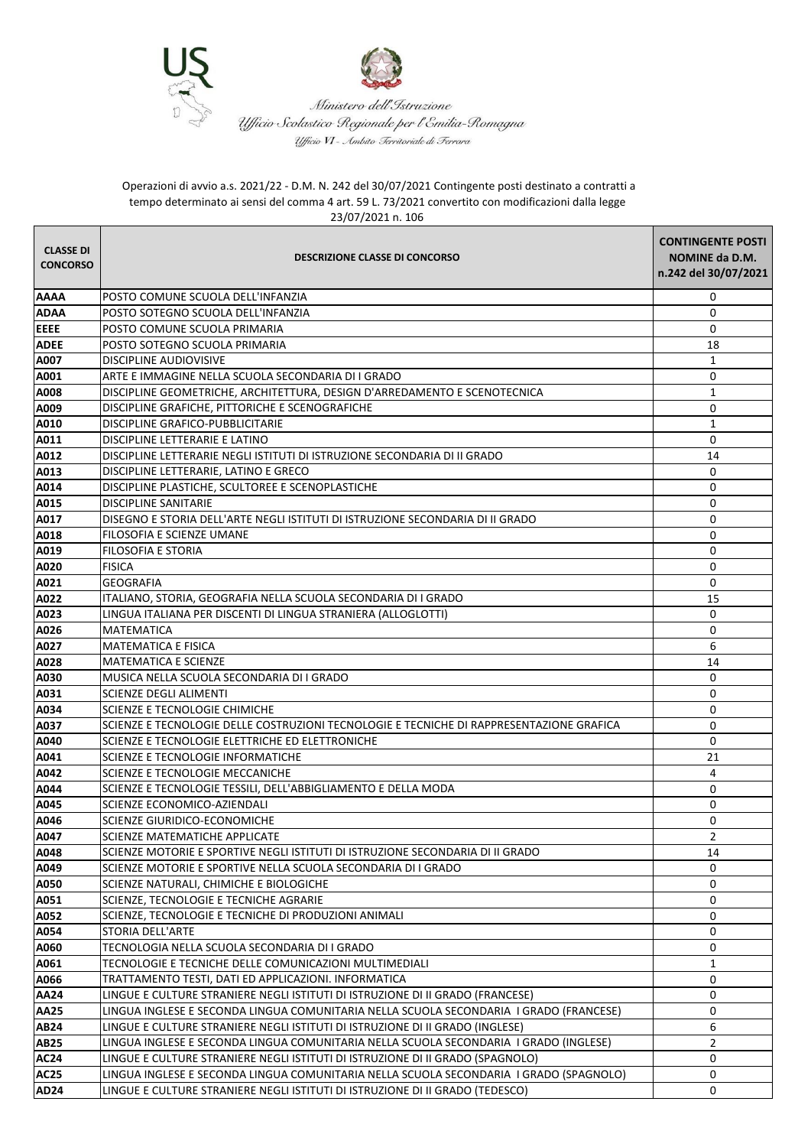



Ministero dell'Istruzione Ufficio-Scolastico-Regionale per l'Emilia-Romagna Uficio VI - Ambito Territoriale di Terrara

## Operazioni di avvio a.s. 2021/22 - D.M. N. 242 del 30/07/2021 Contingente posti destinato a contratti a tempo determinato ai sensi del comma 4 art. 59 L. 73/2021 convertito con modificazioni dalla legge 23/07/2021 n. 106

| <b>CLASSE DI</b><br><b>CONCORSO</b> | <b>DESCRIZIONE CLASSE DI CONCORSO</b>                                                    | <b>CONTINGENTE POSTI</b><br>NOMINE da D.M.<br>n.242 del 30/07/2021 |
|-------------------------------------|------------------------------------------------------------------------------------------|--------------------------------------------------------------------|
| <b>AAAA</b>                         | POSTO COMUNE SCUOLA DELL'INFANZIA                                                        | $\mathbf 0$                                                        |
| <b>ADAA</b>                         | POSTO SOTEGNO SCUOLA DELL'INFANZIA                                                       | 0                                                                  |
| <b>EEEE</b>                         | POSTO COMUNE SCUOLA PRIMARIA                                                             | 0                                                                  |
| <b>ADEE</b>                         | POSTO SOTEGNO SCUOLA PRIMARIA                                                            | 18                                                                 |
| A007                                | <b>DISCIPLINE AUDIOVISIVE</b>                                                            | 1                                                                  |
| A001                                | ARTE E IMMAGINE NELLA SCUOLA SECONDARIA DI I GRADO                                       | 0                                                                  |
| A008                                | DISCIPLINE GEOMETRICHE, ARCHITETTURA, DESIGN D'ARREDAMENTO E SCENOTECNICA                | $\mathbf{1}$                                                       |
| A009                                | DISCIPLINE GRAFICHE, PITTORICHE E SCENOGRAFICHE                                          | $\mathbf{0}$                                                       |
| A010                                | DISCIPLINE GRAFICO-PUBBLICITARIE                                                         | $\mathbf{1}$                                                       |
| A011                                | DISCIPLINE LETTERARIE E LATINO                                                           | 0                                                                  |
| A012                                | DISCIPLINE LETTERARIE NEGLI ISTITUTI DI ISTRUZIONE SECONDARIA DI II GRADO                | 14                                                                 |
| A013                                | DISCIPLINE LETTERARIE, LATINO E GRECO                                                    | 0                                                                  |
| A014                                | DISCIPLINE PLASTICHE, SCULTOREE E SCENOPLASTICHE                                         | 0                                                                  |
| A015                                | <b>DISCIPLINE SANITARIE</b>                                                              | 0                                                                  |
| A017                                | DISEGNO E STORIA DELL'ARTE NEGLI ISTITUTI DI ISTRUZIONE SECONDARIA DI II GRADO           | 0                                                                  |
| A018                                | FILOSOFIA E SCIENZE UMANE                                                                | $\mathbf{0}$                                                       |
| A019                                | <b>FILOSOFIA E STORIA</b>                                                                | $\mathbf{0}$                                                       |
| A020                                | <b>FISICA</b>                                                                            | 0                                                                  |
| A021                                | <b>GEOGRAFIA</b>                                                                         | $\mathbf{0}$                                                       |
| A022                                | ITALIANO, STORIA, GEOGRAFIA NELLA SCUOLA SECONDARIA DI I GRADO                           | 15                                                                 |
| A023                                | LINGUA ITALIANA PER DISCENTI DI LINGUA STRANIERA (ALLOGLOTTI)                            | 0                                                                  |
| A026                                | <b>MATEMATICA</b>                                                                        | $\mathbf{0}$                                                       |
| A027                                | <b>MATEMATICA E FISICA</b>                                                               | 6                                                                  |
| A028                                | MATEMATICA E SCIENZE                                                                     | 14                                                                 |
| A030                                | MUSICA NELLA SCUOLA SECONDARIA DI I GRADO                                                | $\mathbf{0}$                                                       |
| A031                                | <b>SCIENZE DEGLI ALIMENTI</b>                                                            | 0                                                                  |
| A034                                | SCIENZE E TECNOLOGIE CHIMICHE                                                            | 0                                                                  |
| A037                                | SCIENZE E TECNOLOGIE DELLE COSTRUZIONI TECNOLOGIE E TECNICHE DI RAPPRESENTAZIONE GRAFICA | $\mathbf 0$                                                        |
| A040                                | SCIENZE E TECNOLOGIE ELETTRICHE ED ELETTRONICHE                                          | 0                                                                  |
| A041                                | SCIENZE E TECNOLOGIE INFORMATICHE                                                        | 21                                                                 |
| A042                                | SCIENZE E TECNOLOGIE MECCANICHE                                                          | $\overline{4}$                                                     |
| A044                                | SCIENZE E TECNOLOGIE TESSILI, DELL'ABBIGLIAMENTO E DELLA MODA                            | $\mathbf 0$                                                        |
| A045                                | SCIENZE ECONOMICO-AZIENDALI                                                              | 0                                                                  |
| A046                                | SCIENZE GIURIDICO-ECONOMICHE                                                             | 0                                                                  |
| A047                                | SCIENZE MATEMATICHE APPLICATE                                                            | $\overline{2}$                                                     |
| A048                                | SCIENZE MOTORIE E SPORTIVE NEGLI ISTITUTI DI ISTRUZIONE SECONDARIA DI II GRADO           | 14                                                                 |
| A049                                | SCIENZE MOTORIE E SPORTIVE NELLA SCUOLA SECONDARIA DI I GRADO                            | 0                                                                  |
| A050                                | SCIENZE NATURALI, CHIMICHE E BIOLOGICHE                                                  | $\mathbf 0$                                                        |
| A051                                | SCIENZE, TECNOLOGIE E TECNICHE AGRARIE                                                   | $\mathbf 0$                                                        |
| A052                                | SCIENZE, TECNOLOGIE E TECNICHE DI PRODUZIONI ANIMALI                                     | 0                                                                  |
| A054                                | STORIA DELL'ARTE                                                                         | $\mathbf{0}$                                                       |
| A060                                | TECNOLOGIA NELLA SCUOLA SECONDARIA DI I GRADO                                            | 0                                                                  |
| A061                                | TECNOLOGIE E TECNICHE DELLE COMUNICAZIONI MULTIMEDIALI                                   | $\mathbf{1}$                                                       |
| A066                                | TRATTAMENTO TESTI, DATI ED APPLICAZIONI. INFORMATICA                                     | $\mathbf{0}$                                                       |
| <b>AA24</b>                         | LINGUE E CULTURE STRANIERE NEGLI ISTITUTI DI ISTRUZIONE DI II GRADO (FRANCESE)           | 0                                                                  |
| <b>AA25</b>                         | LINGUA INGLESE E SECONDA LINGUA COMUNITARIA NELLA SCUOLA SECONDARIA I GRADO (FRANCESE)   | 0                                                                  |
| <b>AB24</b>                         | LINGUE E CULTURE STRANIERE NEGLI ISTITUTI DI ISTRUZIONE DI II GRADO (INGLESE)            | 6                                                                  |
| <b>AB25</b>                         | LINGUA INGLESE E SECONDA LINGUA COMUNITARIA NELLA SCUOLA SECONDARIA I GRADO (INGLESE)    | $\overline{2}$                                                     |
| <b>AC24</b>                         | LINGUE E CULTURE STRANIERE NEGLI ISTITUTI DI ISTRUZIONE DI II GRADO (SPAGNOLO)           | $\mathbf 0$                                                        |
| <b>AC25</b>                         | LINGUA INGLESE E SECONDA LINGUA COMUNITARIA NELLA SCUOLA SECONDARIA I GRADO (SPAGNOLO)   | $\mathbf 0$                                                        |
| <b>AD24</b>                         | LINGUE E CULTURE STRANIERE NEGLI ISTITUTI DI ISTRUZIONE DI II GRADO (TEDESCO)            | 0                                                                  |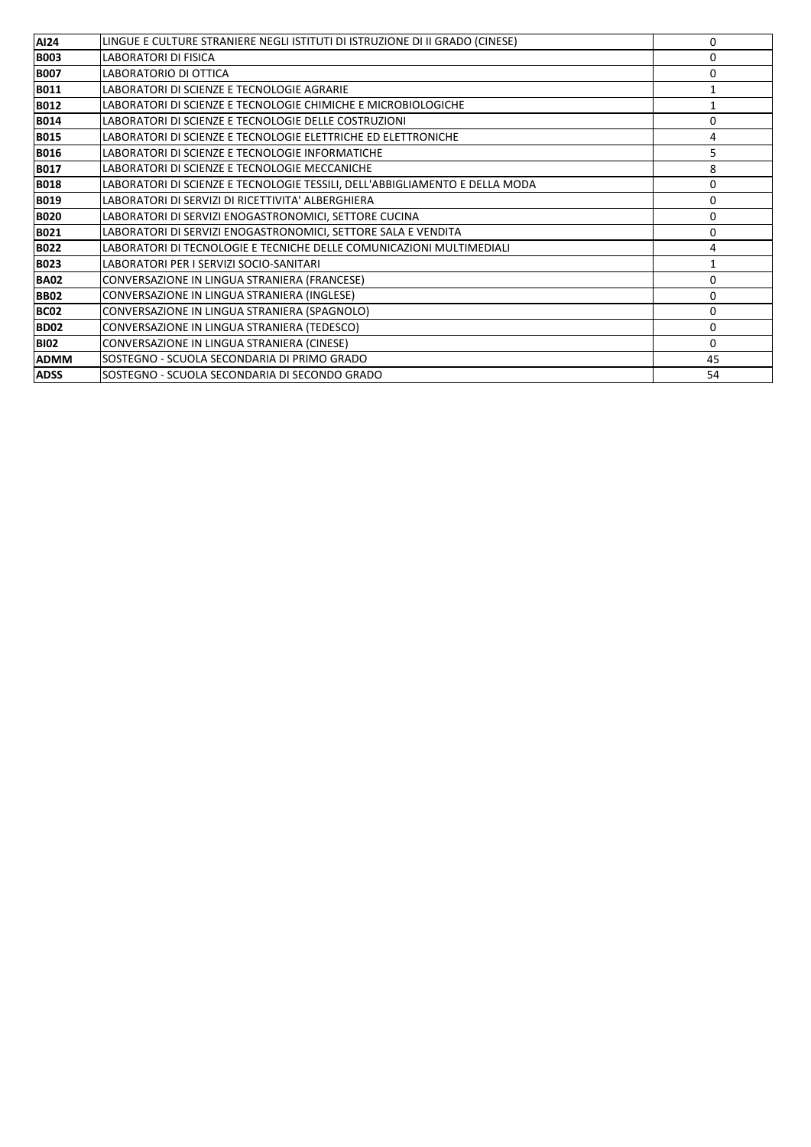| <b>AI24</b> | LINGUE E CULTURE STRANIERE NEGLI ISTITUTI DI ISTRUZIONE DI II GRADO (CINESE) | 0            |
|-------------|------------------------------------------------------------------------------|--------------|
| <b>B003</b> | <b>LABORATORI DI FISICA</b>                                                  | $\Omega$     |
| <b>B007</b> | LABORATORIO DI OTTICA                                                        | $\Omega$     |
| <b>B011</b> | LABORATORI DI SCIENZE E TECNOLOGIE AGRARIE                                   |              |
| <b>B012</b> | LABORATORI DI SCIENZE E TECNOLOGIE CHIMICHE E MICROBIOLOGICHE                |              |
| <b>B014</b> | LABORATORI DI SCIENZE E TECNOLOGIE DELLE COSTRUZIONI                         | $\Omega$     |
| <b>B015</b> | LABORATORI DI SCIENZE E TECNOLOGIE ELETTRICHE ED ELETTRONICHE                | 4            |
| <b>B016</b> | LABORATORI DI SCIENZE E TECNOLOGIE INFORMATICHE                              | 5            |
| <b>B017</b> | LABORATORI DI SCIENZE E TECNOLOGIE MECCANICHE                                | 8            |
| <b>B018</b> | LABORATORI DI SCIENZE E TECNOLOGIE TESSILI, DELL'ABBIGLIAMENTO E DELLA MODA  | 0            |
| <b>B019</b> | LABORATORI DI SERVIZI DI RICETTIVITA' ALBERGHIERA                            | $\mathbf{0}$ |
| <b>B020</b> | LABORATORI DI SERVIZI ENOGASTRONOMICI, SETTORE CUCINA                        | 0            |
| <b>B021</b> | LABORATORI DI SERVIZI ENOGASTRONOMICI, SETTORE SALA E VENDITA                | 0            |
| <b>B022</b> | LABORATORI DI TECNOLOGIE E TECNICHE DELLE COMUNICAZIONI MULTIMEDIALI         | 4            |
| <b>B023</b> | LABORATORI PER I SERVIZI SOCIO-SANITARI                                      |              |
| <b>BA02</b> | CONVERSAZIONE IN LINGUA STRANIERA (FRANCESE)                                 | $\Omega$     |
| <b>BB02</b> | CONVERSAZIONE IN LINGUA STRANIERA (INGLESE)                                  | $\Omega$     |
| <b>BC02</b> | CONVERSAZIONE IN LINGUA STRANIERA (SPAGNOLO)                                 | 0            |
| <b>BD02</b> | CONVERSAZIONE IN LINGUA STRANIERA (TEDESCO)                                  | $\mathbf{0}$ |
| <b>BI02</b> | CONVERSAZIONE IN LINGUA STRANIERA (CINESE)                                   | $\Omega$     |
| <b>ADMM</b> | SOSTEGNO - SCUOLA SECONDARIA DI PRIMO GRADO                                  | 45           |
| <b>ADSS</b> | SOSTEGNO - SCUOLA SECONDARIA DI SECONDO GRADO                                | 54           |